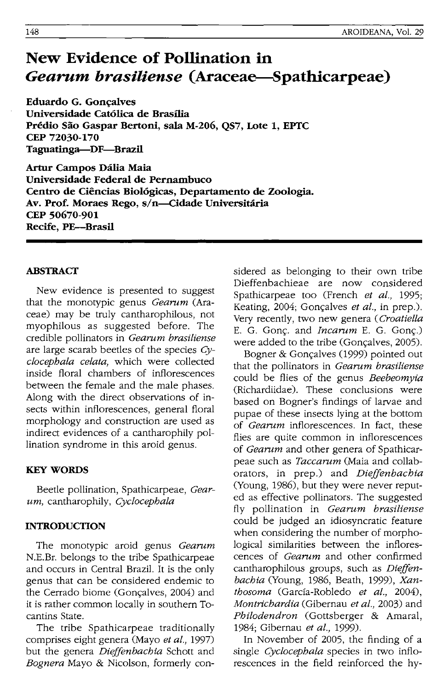# **New Evidence of Pollination in**  *Gearum brasiliense* **(Araceae-Spathicarpeae)**

**Eduardo G. Goncalves Universidade CatOlica de Brasilia Predio Sao Gaspar Bertoni, sala M-206, QS7, Lote 1, EPfC CEP 72030·170 Taguatinga-DF-Brazll** 

**Artur Campos DaJia Maia Universidade Federal de Pernambuco**  Centro de Ciências Biológicas, Departamento de Zoologia. Av. Prof. Moraes Rego, s/n-Cidade Universitária **CEP 50670-901 Recife, PE-Brasil** 

# **ABSTRACT**

New evidence is presented to suggest that the monotypic genus *Gearum* (Araceae) may be truly cantharophilous, not myophilous as suggested before. The credible pollinators in *Gearnm brasiliense*  are large scarab beetles of the species *Cyclocepbala celata,* which were collected inside floral chambers of inflorescences between the female and the male phases. Along with the direct observations of insects within inflorescences, general floral morphology and construction are used as indirect evidences of a cantharophily pollination syndrome in this aroid genus.

# **KEY WORDS**

Beetle pollination, Spathicarpeae, *Gearum,* cantharophily, *Cyclocepbala* 

# **INTRODUCTION**

The monotypic aroid genus *Gearum* N.E.Br. belongs to the tribe Spathicarpeae and occurs in Central Brazil. It is the only genus that can be considered endemic to the Cerrado biome (Gonçalves, 2004) and it is rather common locally in southern Tocantins State.

The tribe Spathicarpeae traditionally comprises eight genera (Mayo *et al., 1997)*  but the genera *Dieffenbacbia* Schott and *Bognera* Mayo & Nicolson, formerly considered as belonging to their own tribe Dieffenbachieae are now considered Spathicarpeae too (French *et al., 1995;*  Keating, 2004; Gonçalves *et al.*, in prep.). Very recently, two new genera *(Croatiella*  E. G. Gonç. and *Incarum* E. G. Gonç.) were added to the tribe (Gonçalves, 2005).

Bogner & Gonçalves (1999) pointed out that the pollinators in *Gearnm brasiliense*  could be flies of the genus *Beebeomyia*  (Richardiidae). These conclusions were based on Bogner's findings of larvae and pupae of these insects lying at the bottom of *Gearnm* inflorescences. In fact, these flies are quite common in inflorescences of *Gearnm* and other genera of Spathicarpeae such as *Taccarum* (Maia and collaborators, in prep.) and *Dieffenbacbia*  (Young, 1986), but they were never reputed as effective pollinators. The suggested fly pollination in *Gearnm brasiliense*  could be judged an idiosyncratic feature when considering the number of morphological similarities between the inflorescences of *Gearum* and other confirmed cantharophilous groups, such as *Dieffenbacbia* (Young, 1986, Beath, 1999), *Xantbosoma* (Garda-Robledo *et al.,* 2004), *Montricbardia* (Gibernau *et al.,* 2003) and *Pbilodendron* (Gottsberger & Amaral, 1984; Gibernau *et al., 1999).* 

In November of 2005, the finding of a single *Cyclocepbala* species in two inflorescences in the field reinforced the hy-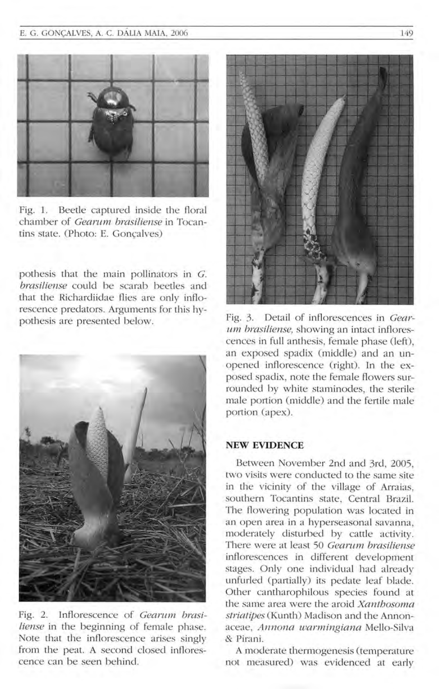

Fig. 1. Beetle captured inside the floral chamber of *Gearum brasiliense* in Tocantins state. (Photo: E. Goncalves)

pothesis that the main pollinators in  $G$ . brasiliense could be scarab beetles and that the Richardiidae flies are only inflorescence predators. Arguments for this hypothesis are presented below.



Fig. 2. Inflorescence of *Gearum brasiliense* in the beginning of female phase. Note that the inflorescence arises singly from the peat. A second closed inflorescence can be seen behind.



Fig. 3. Detail of inflorescences in *Gearum brasiliense*, showing an intact inflorescences in full anthesis, female phase (left), an exposed spadix (middle) and an unopened inflorescence (right). In the exposed spadix, note the female flowers surrounded by white staminodes, the sterile male portion (middle) and the fertile male portion (apex).

#### **NEW EVIDENCE**

Between November 2nd and 3rd, 2005, two visits were conducted to the same site in the vicinity of the village of Arraias, southern Tocantins state, Central Brazil. The flowering population was located in an open area in a hyperseasonal savanna, moderately disturbed by cattle activity. There were at least 50 *Gearum brasiliense* inflorescences in different development stages. Only one individual had already unfurled (partially) its pedate leaf blade. Other cantharophilous species found at the same area were the a roid *Xantbosoma*  striatipes (Kunth) Madison and the Annonaceae, *Annona warmingiana* Mello-Silva & Pirani.

A moderate thermogenesis (temperature not measured) was evidenced at early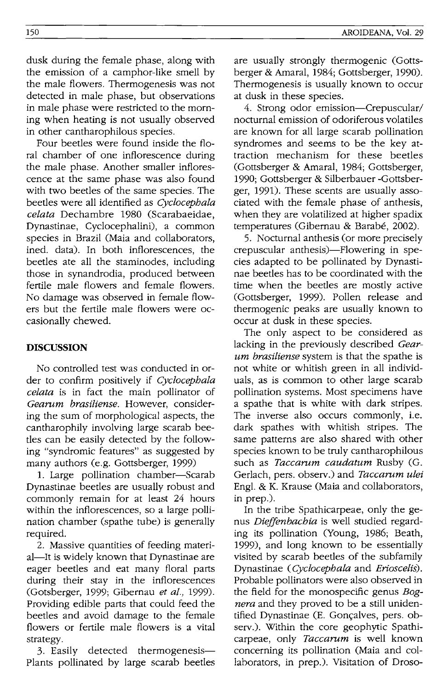dusk during the female phase, along with the emission of a camphor-like smell by the male flowers. Thermogenesis was not detected in male phase, but observations in male phase were restricted to the morning when heating is not usually observed in other cantharophilous species.

Four beetles were found inside the floral chamber of one inflorescence during the male phase. Another smaller inflorescence at the same phase was also found with two beetles of the same species. The beetles were all identified as *Cyclocepba/a celata* Dechambre 1980 (Scarabaeidae, Dynastinae, Cyclocephalini), a common species in Brazil (Maia and collaborators, ined. data). In both inflorescences, the beetles ate all the staminodes, including those in synandrodia, produced between fertile male flowers and female flowers. No damage was observed in female flowers but the fertile male flowers were occasionally chewed.

## **DISCUSSION**

No controlled test was conducted in order to confirm positively if *Cyclocepbala celata* is in fact the main pollinator of *Gearum brasiliense.* However, considering the sum of morphological aspects, the cantharophily involving large scarab beetles can be easily detected by the following "syndromic features" as suggested by many authors (e.g. Gottsberger, 1999)

1. Large pollination chamber-Scarab Dynastinae beetles are usually robust and commonly remain for at least 24 hours within the inflorescences, so a large pollination chamber (spathe tube) is generally required.

2. Massive quantities of feeding material—It is widely known that Dynastinae are eager beetles and eat many floral parts during their stay in the inflorescences CGotsberger, 1999; Gibernau *et al., 1999).*  Providing edible parts that could feed the beetles and avoid damage to the female flowers or fertile male flowers is a vital strategy.

3. Easily detected thermogenesis plants pollinated by large scarab beetles are usually strongly thermogenic (Gottsberger & Amaral, 1984; Gottsberger, 1990). Thermogenesis is usually known to occur at dusk in these species.

4. Strong odor emission-Crepuscular/ nocturnal emission of odoriferous volatiles are known for all large scarab pollination syndromes and seems to be the key attraction mechanism for these beetles (Gottsberger & Amaral, 1984; Gottsberger, 1990; Gottsberger & Silberbauer -Gottsberger, 1991). These scents are usually associated with the female phase of anthesis, when they are volatilized at higher spadix temperatures (Gibernau & Barabé, 2002).

5. Nocturnal anthesis (or more precisely crepuscular anthesis)-Flowering in species adapted to be pollinated by Dynastinae beetles has to be coordinated with the time when the beetles are mostly active (Gottsberger, 1999). Pollen release and thermogenic peaks are usually known to occur at dusk in these species.

The only aspect to be considered as lacking in the previously described *Gearum brasiliense* system is that the spathe is not white or whitish green in all individuals, as is common to other large scarab pollination systems. Most specimens have a spathe that is white with dark stripes. The inverse also occurs commonly, i.e. dark spathes with whitish stripes. The same patterns are also shared with other species known to be truly cantharophilous such as *Taccarum caudatum* Rusby (G. Gerlach, pers. observ.) and *Taccarum ulei*  Eng!. & K. Krause (Maia and collaborators, in prep.).

In the tribe Spathicarpeae, only the genus *Dielfenbacbia* is well studied regarding its pollination (Young, 1986; Beath, 1999), and long known to be essentially visited by scarab beetles of the subfamily Dynastinae *(Cyclocepbala* and *Erioscelis).*  Probable pollinators were also observed in the field for the monospecific genus *Bognera* and they proved to be a still unidentified Dynastinae (E. Gonçalves, pers. observ.). Within the core geophytic Spathicarpeae, only *Taccarum* is well known concerning its pollination (Maia and collaborators, in prep.). Visitation of Droso-